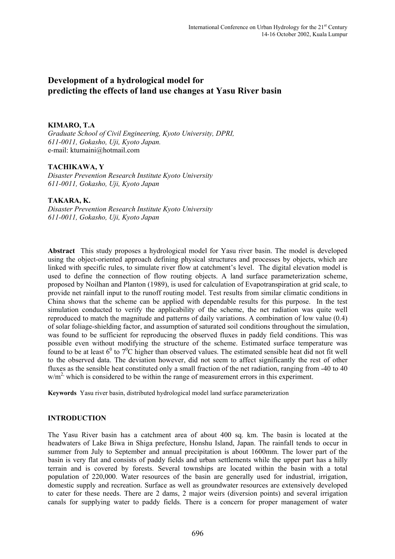# **Development of a hydrological model for predicting the effects of land use changes at Yasu River basin**

#### **KIMARO, T.A**

*Graduate School of Civil Engineering, Kyoto University, DPRI, 611-0011, Gokasho, Uji, Kyoto Japan.*  e-mail: [ktumaini@hotmail.com](mailto:ktumaini@hotmail.com)

## **TACHIKAWA, Y**

*Disaster Prevention Research Institute Kyoto University 611-0011, Gokasho, Uji, Kyoto Japan*

# **TAKARA, K.**

*Disaster Prevention Research Institute Kyoto University 611-0011, Gokasho, Uji, Kyoto Japan*

**Abstract** This study proposes a hydrological model for Yasu river basin. The model is developed using the object-oriented approach defining physical structures and processes by objects, which are linked with specific rules, to simulate river flow at catchment's level. The digital elevation model is used to define the connection of flow routing objects. A land surface parameterization scheme, proposed by Noilhan and Planton (1989), is used for calculation of Evapotranspiration at grid scale, to provide net rainfall input to the runoff routing model. Test results from similar climatic conditions in China shows that the scheme can be applied with dependable results for this purpose. In the test simulation conducted to verify the applicability of the scheme, the net radiation was quite well reproduced to match the magnitude and patterns of daily variations. A combination of low value (0.4) of solar foliage-shielding factor, and assumption of saturated soil conditions throughout the simulation, was found to be sufficient for reproducing the observed fluxes in paddy field conditions. This was possible even without modifying the structure of the scheme. Estimated surface temperature was found to be at least  $6^{\circ}$  to  $7^{\circ}$ C higher than observed values. The estimated sensible heat did not fit well to the observed data. The deviation however, did not seem to affect significantly the rest of other fluxes as the sensible heat constituted only a small fraction of the net radiation, ranging from -40 to 40  $w/m<sup>2</sup>$ , which is considered to be within the range of measurement errors in this experiment.

**Keywords** Yasu river basin, distributed hydrological model land surface parameterization

#### **INTRODUCTION**

The Yasu River basin has a catchment area of about 400 sq. km. The basin is located at the headwaters of Lake Biwa in Shiga prefecture, Honshu Island, Japan. The rainfall tends to occur in summer from July to September and annual precipitation is about 1600mm. The lower part of the basin is very flat and consists of paddy fields and urban settlements while the upper part has a hilly terrain and is covered by forests. Several townships are located within the basin with a total population of 220,000. Water resources of the basin are generally used for industrial, irrigation, domestic supply and recreation. Surface as well as groundwater resources are extensively developed to cater for these needs. There are 2 dams, 2 major weirs (diversion points) and several irrigation canals for supplying water to paddy fields. There is a concern for proper management of water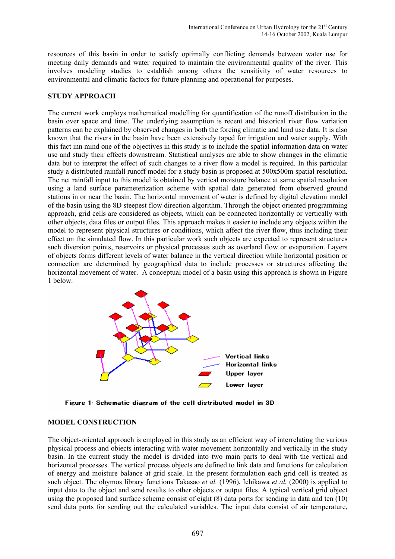resources of this basin in order to satisfy optimally conflicting demands between water use for meeting daily demands and water required to maintain the environmental quality of the river. This involves modeling studies to establish among others the sensitivity of water resources to environmental and climatic factors for future planning and operational for purposes.

#### **STUDY APPROACH**

The current work employs mathematical modelling for quantification of the runoff distribution in the basin over space and time. The underlying assumption is recent and historical river flow variation patterns can be explained by observed changes in both the forcing climatic and land use data. It is also known that the rivers in the basin have been extensively taped for irrigation and water supply. With this fact inn mind one of the objectives in this study is to include the spatial information data on water use and study their effects downstream. Statistical analyses are able to show changes in the climatic data but to interpret the effect of such changes to a river flow a model is required. In this particular study a distributed rainfall runoff model for a study basin is proposed at 500x500m spatial resolution. The net rainfall input to this model is obtained by vertical moisture balance at same spatial resolution using a land surface parameterization scheme with spatial data generated from observed ground stations in or near the basin. The horizontal movement of water is defined by digital elevation model of the basin using the 8D steepest flow direction algorithm. Through the object oriented programming approach, grid cells are considered as objects, which can be connected horizontally or vertically with other objects, data files or output files. This approach makes it easier to include any objects within the model to represent physical structures or conditions, which affect the river flow, thus including their effect on the simulated flow. In this particular work such objects are expected to represent structures such diversion points, reservoirs or physical processes such as overland flow or evaporation. Layers of objects forms different levels of water balance in the vertical direction while horizontal position or connection are determined by geographical data to include processes or structures affecting the horizontal movement of water. A conceptual model of a basin using this approach is shown in Figure 1 below.



Figure 1: Schematic diagram of the cell distributed model in 3D

# **MODEL CONSTRUCTION**

The object-oriented approach is employed in this study as an efficient way of interrelating the various physical process and objects interacting with water movement horizontally and vertically in the study basin. In the current study the model is divided into two main parts to deal with the vertical and horizontal processes. The vertical process objects are defined to link data and functions for calculation of energy and moisture balance at grid scale. In the present formulation each grid cell is treated as such object. The ohymos library functions Takasao *et al.* (1996), Ichikawa *et al.* (2000) is applied to input data to the object and send results to other objects or output files. A typical vertical grid object using the proposed land surface scheme consist of eight (8) data ports for sending in data and ten (10) send data ports for sending out the calculated variables. The input data consist of air temperature,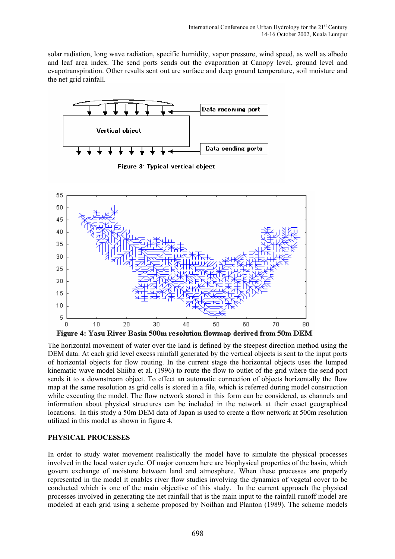solar radiation, long wave radiation, specific humidity, vapor pressure, wind speed, as well as albedo and leaf area index. The send ports sends out the evaporation at Canopy level, ground level and evapotranspiration. Other results sent out are surface and deep ground temperature, soil moisture and the net grid rainfall.



Figure 3: Typical vertical object



The horizontal movement of water over the land is defined by the steepest direction method using the DEM data. At each grid level excess rainfall generated by the vertical objects is sent to the input ports of horizontal objects for flow routing. In the current stage the horizontal objects uses the lumped kinematic wave model Shiiba et al. (1996) to route the flow to outlet of the grid where the send port sends it to a downstream object. To effect an automatic connection of objects horizontally the flow map at the same resolution as grid cells is stored in a file, which is referred during model construction while executing the model. The flow network stored in this form can be considered, as channels and information about physical structures can be included in the network at their exact geographical locations. In this study a 50m DEM data of Japan is used to create a flow network at 500m resolution utilized in this model as shown in figure 4.

#### **PHYSICAL PROCESSES**

In order to study water movement realistically the model have to simulate the physical processes involved in the local water cycle. Of major concern here are biophysical properties of the basin, which govern exchange of moisture between land and atmosphere. When these processes are properly represented in the model it enables river flow studies involving the dynamics of vegetal cover to be conducted which is one of the main objective of this study. In the current approach the physical processes involved in generating the net rainfall that is the main input to the rainfall runoff model are modeled at each grid using a scheme proposed by Noilhan and Planton (1989). The scheme models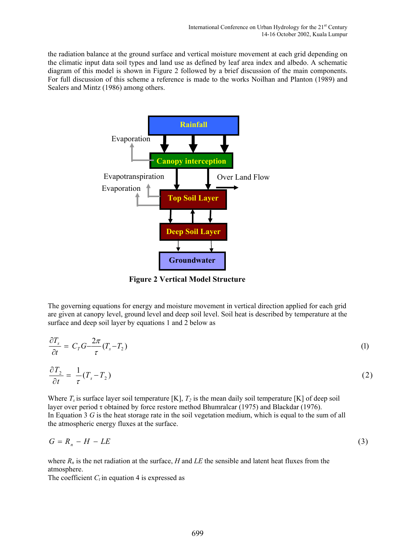the radiation balance at the ground surface and vertical moisture movement at each grid depending on the climatic input data soil types and land use as defined by leaf area index and albedo. A schematic diagram of this model is shown in Figure 2 followed by a brief discussion of the main components. For full discussion of this scheme a reference is made to the works Noilhan and Planton (1989) and Sealers and Mintz (1986) among others.



**Figure 2 Vertical Model Structure**

The governing equations for energy and moisture movement in vertical direction applied for each grid are given at canopy level, ground level and deep soil level. Soil heat is described by temperature at the surface and deep soil layer by equations 1 and 2 below as

$$
\frac{\partial T_s}{\partial t} = C_T G - \frac{2\pi}{\tau} (T_s - T_2)
$$
\n
$$
\frac{\partial T_2}{\partial t} = \frac{1}{\tau} (T_s - T_2)
$$
\n(1)

Where  $T_s$  is surface layer soil temperature [K],  $T_2$  is the mean daily soil temperature [K] of deep soil layer over period τ obtained by force restore method Bhumralcar (1975) and Blackdar (1976). In Equation 3 *G* is the heat storage rate in the soil vegetation medium, which is equal to the sum of all the atmospheric energy fluxes at the surface.

$$
G = R_n - H - LE \tag{3}
$$

where  $R_n$  is the net radiation at the surface, *H* and *LE* the sensible and latent heat fluxes from the atmosphere.

The coefficient  $C_t$  in equation 4 is expressed as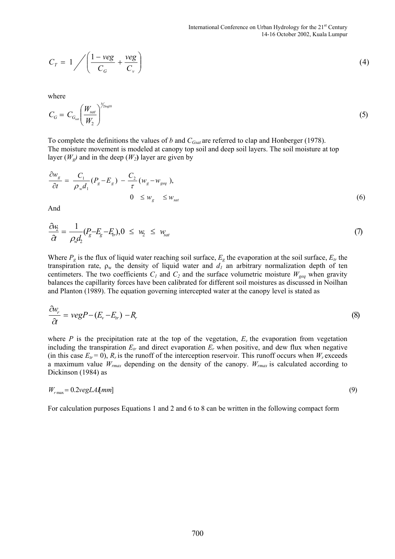$$
C_T = 1 / \left( \frac{1 - \text{veg}}{C_G} + \frac{\text{veg}}{C_v} \right)
$$
 (4)

where

$$
C_G = C_{G_{sat}} \left(\frac{W_{sat}}{W_2}\right)^{\frac{1}{2\log 10}} \tag{5}
$$

To complete the definitions the values of *b* and *CGsat* are referred to clap and Honberger (1978). The moisture movement is modeled at canopy top soil and deep soil layers. The soil moisture at top layer  $(W_g)$  and in the deep  $(W_2)$  layer are given by

$$
\frac{\partial w_g}{\partial t} = \frac{C_1}{\rho_w d_1} (P_g - E_g) - \frac{C_2}{\tau} (w_g - w_{geq})
$$
\n
$$
0 \leq w_g \leq w_{sat} \tag{6}
$$

And

$$
\frac{\partial w_2}{\partial t} = \frac{1}{\rho_{w} d_2} (P_g - E_g - E_{tr}), 0 \leq w_2 \leq w_{sat} \tag{7}
$$

Where  $P_g$  is the flux of liquid water reaching soil surface,  $E_g$  the evaporation at the soil surface,  $E_{tr}$  the transpiration rate,  $\rho_w$  the density of liquid water and  $d_l$  an arbitrary normalization depth of ten centimeters. The two coefficients  $C_1$  and  $C_2$  and the surface volumetric moisture  $W_{\text{geq}}$  when gravity balances the capillarity forces have been calibrated for different soil moistures as discussed in Noilhan and Planton (1989). The equation governing intercepted water at the canopy level is stated as

$$
\frac{\partial w_r}{\partial t} = v e g P - (E_v - E_{tr}) - R_r \tag{8}
$$

where *P* is the precipitation rate at the top of the vegetation,  $E<sub>v</sub>$  the evaporation from vegetation including the transpiration  $E_t$  and direct evaporation  $E_t$  when positive, and dew flux when negative (in this case  $E_{tr} = 0$ ),  $R_r$  is the runoff of the interception reservoir. This runoff occurs when  $W_r$  exceeds a maximum value *Wrmax* depending on the density of the canopy. *Wrmax* is calculated according to Dickinson (1984) as

$$
W_{r\text{max}} = 0.2 \text{vegLA[mm]} \tag{9}
$$

For calculation purposes Equations 1 and 2 and 6 to 8 can be written in the following compact form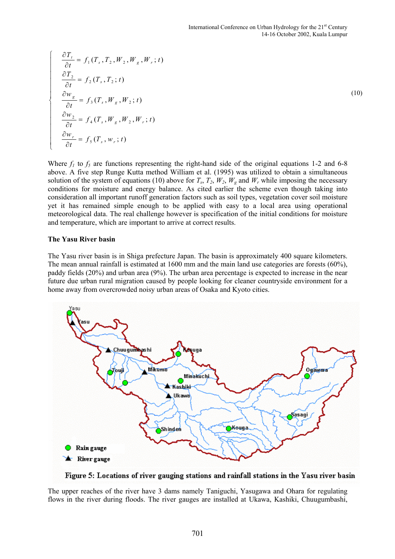$$
\frac{\partial T_t}{\partial t} = f_1(T_s, T_2, W_2, W_g, W_r; t)
$$
\n
$$
\frac{\partial T_2}{\partial t} = f_2(T_s, T_2; t)
$$
\n
$$
\frac{\partial w_g}{\partial t} = f_3(T_s, W_g, W_2; t)
$$
\n
$$
\frac{\partial w_2}{\partial t} = f_4(T_s, W_g, W_2, W_r; t)
$$
\n
$$
\frac{\partial w_r}{\partial t} = f_5(T_s, w_r; t)
$$
\n(10)

Where  $f_1$  to  $f_5$  are functions representing the right-hand side of the original equations 1-2 and 6-8 above. A five step Runge Kutta method William et al. (1995) was utilized to obtain a simultaneous solution of the system of equations (10) above for  $T_s$ ,  $T_2$ ,  $W_2$ ,  $W_g$  and  $W_r$  while imposing the necessary conditions for moisture and energy balance. As cited earlier the scheme even though taking into consideration all important runoff generation factors such as soil types, vegetation cover soil moisture yet it has remained simple enough to be applied with easy to a local area using operational meteorological data. The real challenge however is specification of the initial conditions for moisture and temperature, which are important to arrive at correct results.

#### **The Yasu River basin**

 $\overline{ }$  $\downarrow$  $\left| \right|$  $\downarrow$  $\downarrow$  $\left| \right|$ 

 $\Big\}$  $\left| \right|$  $\left| \right|$  $\left| \right|$  $\left| \right|$  $\downarrow$ 

 $\left\lceil \right\rceil$ 

₹

 $\overline{\mathfrak{l}}$ 

The Yasu river basin is in Shiga prefecture Japan. The basin is approximately 400 square kilometers. The mean annual rainfall is estimated at 1600 mm and the main land use categories are forests (60%), paddy fields (20%) and urban area (9%). The urban area percentage is expected to increase in the near future due urban rural migration caused by people looking for cleaner countryside environment for a home away from overcrowded noisy urban areas of Osaka and Kyoto cities.



Figure 5: Locations of river gauging stations and rainfall stations in the Yasu river basin

The upper reaches of the river have 3 dams namely Taniguchi, Yasugawa and Ohara for regulating flows in the river during floods. The river gauges are installed at Ukawa, Kashiki, Chuugumbashi,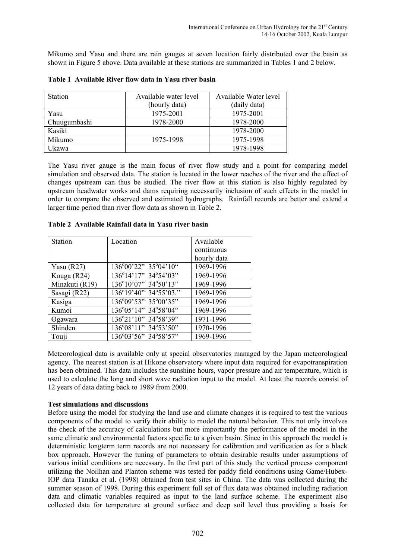Mikumo and Yasu and there are rain gauges at seven location fairly distributed over the basin as shown in Figure 5 above. Data available at these stations are summarized in Tables 1 and 2 below.

| Station      | Available water level | Available Water level |
|--------------|-----------------------|-----------------------|
|              | (hourly data)         | (daily data)          |
| Yasu         | 1975-2001             | 1975-2001             |
| Chuugumbashi | 1978-2000             | 1978-2000             |
| Kasiki       |                       | 1978-2000             |
| Mikumo       | 1975-1998             | 1975-1998             |
| Ukawa        |                       | 1978-1998             |

**Table 1 Available River flow data in Yasu river basin** 

The Yasu river gauge is the main focus of river flow study and a point for comparing model simulation and observed data. The station is located in the lower reaches of the river and the effect of changes upstream can thus be studied. The river flow at this station is also highly regulated by upstream headwater works and dams requiring necessarily inclusion of such effects in the model in order to compare the observed and estimated hydrographs. Rainfall records are better and extend a larger time period than river flow data as shown in Table 2.

| Station        | Location              | Available   |
|----------------|-----------------------|-------------|
|                |                       | continuous  |
|                |                       | hourly data |
| Yasu $(R27)$   | 136°00'22" 35°04'10"  | 1969-1996   |
| Kouga (R24)    | 136°14'17" 34°54'03"  | 1969-1996   |
| Minakuti (R19) | 136°10'07" 34°50'13"  | 1969-1996   |
| Sasagi (R22)   | 136°19'40" 34°55'03." | 1969-1996   |
| Kasiga         | 136°09'53" 35°00'35"  | 1969-1996   |
| Kumoi          | 136°05'14" 34°58'04"  | 1969-1996   |
| Ogawara        | 136°21'10" 34°58'39"  | 1971-1996   |
| Shinden        | 136°08'11" 34°53'50"  | 1970-1996   |
| Touji          | 136°03'56" 34°58'57"  | 1969-1996   |

**Table 2 Available Rainfall data in Yasu river basin** 

Meteorological data is available only at special observatories managed by the Japan meteorological agency. The nearest station is at Hikone observatory where input data required for evapotranspiration has been obtained. This data includes the sunshine hours, vapor pressure and air temperature, which is used to calculate the long and short wave radiation input to the model. At least the records consist of 12 years of data dating back to 1989 from 2000.

#### **Test simulations and discussions**

Before using the model for studying the land use and climate changes it is required to test the various components of the model to verify their ability to model the natural behavior. This not only involves the check of the accuracy of calculations but more importantly the performance of the model in the same climatic and environmental factors specific to a given basin. Since in this approach the model is deterministic longterm term records are not necessary for calibration and verification as for a black box approach. However the tuning of parameters to obtain desirable results under assumptions of various initial conditions are necessary. In the first part of this study the vertical process component utilizing the Noilhan and Planton scheme was tested for paddy field conditions using Game/Hubex-IOP data Tanaka et al. (1998) obtained from test sites in China. The data was collected during the summer season of 1998. During this experiment full set of flux data was obtained including radiation data and climatic variables required as input to the land surface scheme. The experiment also collected data for temperature at ground surface and deep soil level thus providing a basis for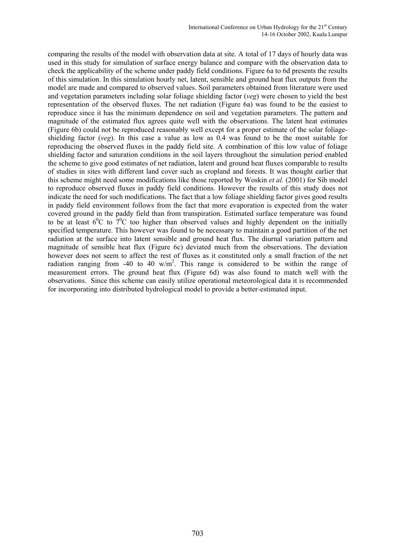comparing the results of the model with observation data at site. A total of 17 days of hourly data was used in this study for simulation of surface energy balance and compare with the observation data to check the applicability of the scheme under paddy field conditions. Figure 6a to 6d presents the results of this simulation. In this simulation hourly net, latent, sensible and ground heat flux outputs from the model are made and compared to observed values. Soil parameters obtained from literature were used and vegetation parameters including solar foliage shielding factor (*veg*) were chosen to yield the best representation of the observed fluxes. The net radiation (Figure 6a) was found to be the easiest to reproduce since it has the minimum dependence on soil and vegetation parameters. The pattern and magnitude of the estimated flux agrees quite well with the observations. The latent heat estimates (Figure 6b) could not be reproduced reasonably well except for a proper estimate of the solar foliageshielding factor (*veg*). In this case a value as low as 0.4 was found to be the most suitable for reproducing the observed fluxes in the paddy field site. A combination of this low value of foliage shielding factor and saturation conditions in the soil layers throughout the simulation period enabled the scheme to give good estimates of net radiation, latent and ground heat fluxes comparable to results of studies in sites with different land cover such as cropland and forests. It was thought earlier that this scheme might need some modifications like those reported by Woskin *et al.* (2001) for Sib model to reproduce observed fluxes in paddy field conditions. However the results of this study does not indicate the need for such modifications. The fact that a low foliage shielding factor gives good results in paddy field environment follows from the fact that more evaporation is expected from the water covered ground in the paddy field than from transpiration. Estimated surface temperature was found to be at least  $6^{\circ}$ C to  $7^{\circ}$ C too higher than observed values and highly dependent on the initially specified temperature. This however was found to be necessary to maintain a good partition of the net radiation at the surface into latent sensible and ground heat flux. The diurnal variation pattern and magnitude of sensible heat flux (Figure 6c) deviated much from the observations. The deviation however does not seem to affect the rest of fluxes as it constituted only a small fraction of the net radiation ranging from -40 to 40  $w/m^2$ . This range is considered to be within the range of measurement errors. The ground heat flux (Figure 6d) was also found to match well with the observations. Since this scheme can easily utilize operational meteorological data it is recommended for incorporating into distributed hydrological model to provide a better-estimated input.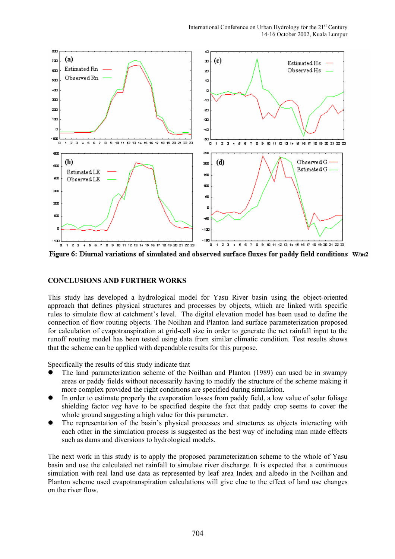International Conference on Urban Hydrology for the 21<sup>st</sup> Century 14-16 October 2002, Kuala Lumpur



Figure 6: Diurnal variations of simulated and observed surface fluxes for paddy field conditions W/m2

#### **CONCLUSIONS AND FURTHER WORKS**

This study has developed a hydrological model for Yasu River basin using the object-oriented approach that defines physical structures and processes by objects, which are linked with specific rules to simulate flow at catchment's level. The digital elevation model has been used to define the connection of flow routing objects. The Noilhan and Planton land surface parameterization proposed for calculation of evapotranspiration at grid-cell size in order to generate the net rainfall input to the runoff routing model has been tested using data from similar climatic condition. Test results shows that the scheme can be applied with dependable results for this purpose.

Specifically the results of this study indicate that

- The land parameterization scheme of the Noilhan and Planton (1989) can used be in swampy areas or paddy fields without necessarily having to modify the structure of the scheme making it more complex provided the right conditions are specified during simulation.
- In order to estimate properly the evaporation losses from paddy field, a low value of solar foliage shielding factor *veg* have to be specified despite the fact that paddy crop seems to cover the whole ground suggesting a high value for this parameter.
- The representation of the basin's physical processes and structures as objects interacting with each other in the simulation process is suggested as the best way of including man made effects such as dams and diversions to hydrological models.

The next work in this study is to apply the proposed parameterization scheme to the whole of Yasu basin and use the calculated net rainfall to simulate river discharge. It is expected that a continuous simulation with real land use data as represented by leaf area Index and albedo in the Noilhan and Planton scheme used evapotranspiration calculations will give clue to the effect of land use changes on the river flow.